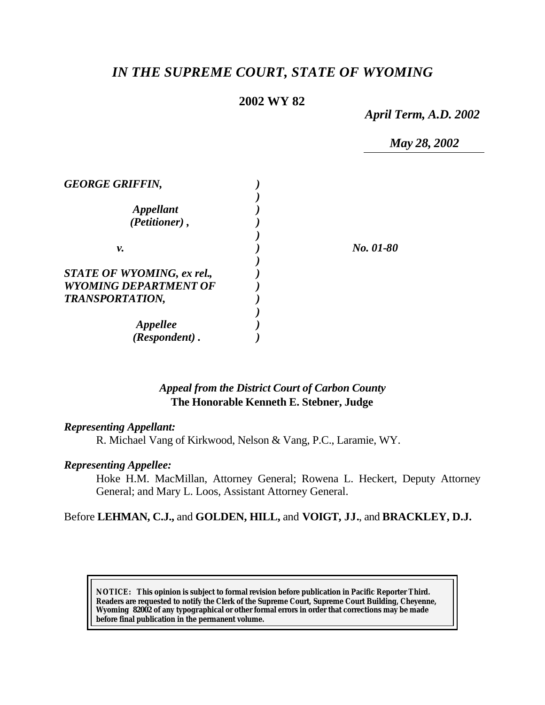# *IN THE SUPREME COURT, STATE OF WYOMING*

# **2002 WY 82**

*April Term, A.D. 2002*

*May 28, 2002*

| <b>GEORGE GRIFFIN,</b>            |           |
|-----------------------------------|-----------|
|                                   |           |
| <i><b>Appellant</b></i>           |           |
| (Petitioner),                     |           |
|                                   |           |
| ν.                                | No. 01-80 |
|                                   |           |
| <b>STATE OF WYOMING, ex rel.,</b> |           |
| <b>WYOMING DEPARTMENT OF</b>      |           |
| <b>TRANSPORTATION,</b>            |           |
|                                   |           |
| Appellee                          |           |
| (Respondent).                     |           |

# *Appeal from the District Court of Carbon County* **The Honorable Kenneth E. Stebner, Judge**

### *Representing Appellant:*

R. Michael Vang of Kirkwood, Nelson & Vang, P.C., Laramie, WY.

# *Representing Appellee:*

Hoke H.M. MacMillan, Attorney General; Rowena L. Heckert, Deputy Attorney General; and Mary L. Loos, Assistant Attorney General.

### Before **LEHMAN, C.J.,** and **GOLDEN, HILL,** and **VOIGT, JJ.**, and **BRACKLEY, D.J.**

**NOTICE:** *This opinion is subject to formal revision before publication in Pacific Reporter Third. Readers are requested to notify the Clerk of the Supreme Court, Supreme Court Building, Cheyenne, Wyoming 82002 of any typographical or other formal errors in order that corrections may be made before final publication in the permanent volume.*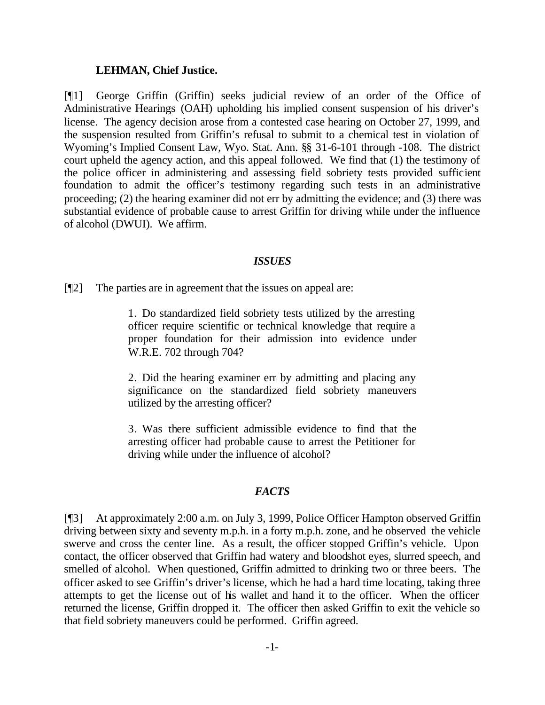#### **LEHMAN, Chief Justice.**

[¶1] George Griffin (Griffin) seeks judicial review of an order of the Office of Administrative Hearings (OAH) upholding his implied consent suspension of his driver's license. The agency decision arose from a contested case hearing on October 27, 1999, and the suspension resulted from Griffin's refusal to submit to a chemical test in violation of Wyoming's Implied Consent Law, Wyo. Stat. Ann. §§ 31-6-101 through -108. The district court upheld the agency action, and this appeal followed. We find that (1) the testimony of the police officer in administering and assessing field sobriety tests provided sufficient foundation to admit the officer's testimony regarding such tests in an administrative proceeding; (2) the hearing examiner did not err by admitting the evidence; and (3) there was substantial evidence of probable cause to arrest Griffin for driving while under the influence of alcohol (DWUI). We affirm.

#### *ISSUES*

[¶2] The parties are in agreement that the issues on appeal are:

1. Do standardized field sobriety tests utilized by the arresting officer require scientific or technical knowledge that require a proper foundation for their admission into evidence under W.R.E. 702 through 704?

2. Did the hearing examiner err by admitting and placing any significance on the standardized field sobriety maneuvers utilized by the arresting officer?

3. Was there sufficient admissible evidence to find that the arresting officer had probable cause to arrest the Petitioner for driving while under the influence of alcohol?

#### *FACTS*

[¶3] At approximately 2:00 a.m. on July 3, 1999, Police Officer Hampton observed Griffin driving between sixty and seventy m.p.h. in a forty m.p.h. zone, and he observed the vehicle swerve and cross the center line. As a result, the officer stopped Griffin's vehicle. Upon contact, the officer observed that Griffin had watery and bloodshot eyes, slurred speech, and smelled of alcohol. When questioned, Griffin admitted to drinking two or three beers. The officer asked to see Griffin's driver's license, which he had a hard time locating, taking three attempts to get the license out of his wallet and hand it to the officer. When the officer returned the license, Griffin dropped it. The officer then asked Griffin to exit the vehicle so that field sobriety maneuvers could be performed. Griffin agreed.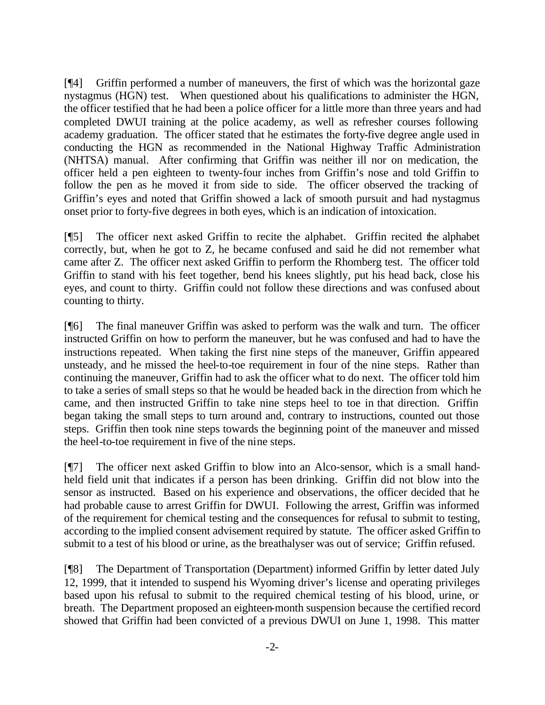[¶4] Griffin performed a number of maneuvers, the first of which was the horizontal gaze nystagmus (HGN) test. When questioned about his qualifications to administer the HGN, the officer testified that he had been a police officer for a little more than three years and had completed DWUI training at the police academy, as well as refresher courses following academy graduation. The officer stated that he estimates the forty-five degree angle used in conducting the HGN as recommended in the National Highway Traffic Administration (NHTSA) manual. After confirming that Griffin was neither ill nor on medication, the officer held a pen eighteen to twenty-four inches from Griffin's nose and told Griffin to follow the pen as he moved it from side to side. The officer observed the tracking of Griffin's eyes and noted that Griffin showed a lack of smooth pursuit and had nystagmus onset prior to forty-five degrees in both eyes, which is an indication of intoxication.

[¶5] The officer next asked Griffin to recite the alphabet. Griffin recited the alphabet correctly, but, when he got to Z, he became confused and said he did not remember what came after Z. The officer next asked Griffin to perform the Rhomberg test. The officer told Griffin to stand with his feet together, bend his knees slightly, put his head back, close his eyes, and count to thirty. Griffin could not follow these directions and was confused about counting to thirty.

[¶6] The final maneuver Griffin was asked to perform was the walk and turn. The officer instructed Griffin on how to perform the maneuver, but he was confused and had to have the instructions repeated. When taking the first nine steps of the maneuver, Griffin appeared unsteady, and he missed the heel-to-toe requirement in four of the nine steps. Rather than continuing the maneuver, Griffin had to ask the officer what to do next. The officer told him to take a series of small steps so that he would be headed back in the direction from which he came, and then instructed Griffin to take nine steps heel to toe in that direction. Griffin began taking the small steps to turn around and, contrary to instructions, counted out those steps. Griffin then took nine steps towards the beginning point of the maneuver and missed the heel-to-toe requirement in five of the nine steps.

[¶7] The officer next asked Griffin to blow into an Alco-sensor, which is a small handheld field unit that indicates if a person has been drinking. Griffin did not blow into the sensor as instructed. Based on his experience and observations, the officer decided that he had probable cause to arrest Griffin for DWUI. Following the arrest, Griffin was informed of the requirement for chemical testing and the consequences for refusal to submit to testing, according to the implied consent advisement required by statute. The officer asked Griffin to submit to a test of his blood or urine, as the breathalyser was out of service; Griffin refused.

[¶8] The Department of Transportation (Department) informed Griffin by letter dated July 12, 1999, that it intended to suspend his Wyoming driver's license and operating privileges based upon his refusal to submit to the required chemical testing of his blood, urine, or breath. The Department proposed an eighteen-month suspension because the certified record showed that Griffin had been convicted of a previous DWUI on June 1, 1998. This matter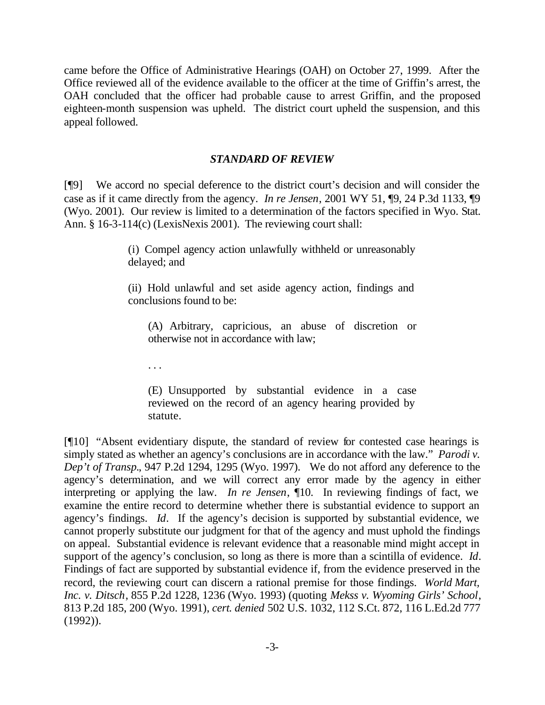came before the Office of Administrative Hearings (OAH) on October 27, 1999. After the Office reviewed all of the evidence available to the officer at the time of Griffin's arrest, the OAH concluded that the officer had probable cause to arrest Griffin, and the proposed eighteen-month suspension was upheld. The district court upheld the suspension, and this appeal followed.

### *STANDARD OF REVIEW*

[¶9] We accord no special deference to the district court's decision and will consider the case as if it came directly from the agency. *In re Jensen*, 2001 WY 51, ¶9, 24 P.3d 1133, ¶9 (Wyo. 2001). Our review is limited to a determination of the factors specified in Wyo. Stat. Ann. § 16-3-114(c) (LexisNexis 2001). The reviewing court shall:

> (i) Compel agency action unlawfully withheld or unreasonably delayed; and

> (ii) Hold unlawful and set aside agency action, findings and conclusions found to be:

(A) Arbitrary, capricious, an abuse of discretion or otherwise not in accordance with law;

. . .

(E) Unsupported by substantial evidence in a case reviewed on the record of an agency hearing provided by statute.

[¶10] "Absent evidentiary dispute, the standard of review for contested case hearings is simply stated as whether an agency's conclusions are in accordance with the law." *Parodi v. Dep't of Transp.*, 947 P.2d 1294, 1295 (Wyo. 1997). We do not afford any deference to the agency's determination, and we will correct any error made by the agency in either interpreting or applying the law. *In re Jensen*, ¶10. In reviewing findings of fact, we examine the entire record to determine whether there is substantial evidence to support an agency's findings. *Id*. If the agency's decision is supported by substantial evidence, we cannot properly substitute our judgment for that of the agency and must uphold the findings on appeal. Substantial evidence is relevant evidence that a reasonable mind might accept in support of the agency's conclusion, so long as there is more than a scintilla of evidence. *Id*. Findings of fact are supported by substantial evidence if, from the evidence preserved in the record, the reviewing court can discern a rational premise for those findings. *World Mart, Inc. v. Ditsch*, 855 P.2d 1228, 1236 (Wyo. 1993) (quoting *Mekss v. Wyoming Girls' School*, 813 P.2d 185, 200 (Wyo. 1991), *cert. denied* 502 U.S. 1032, 112 S.Ct. 872, 116 L.Ed.2d 777 (1992)).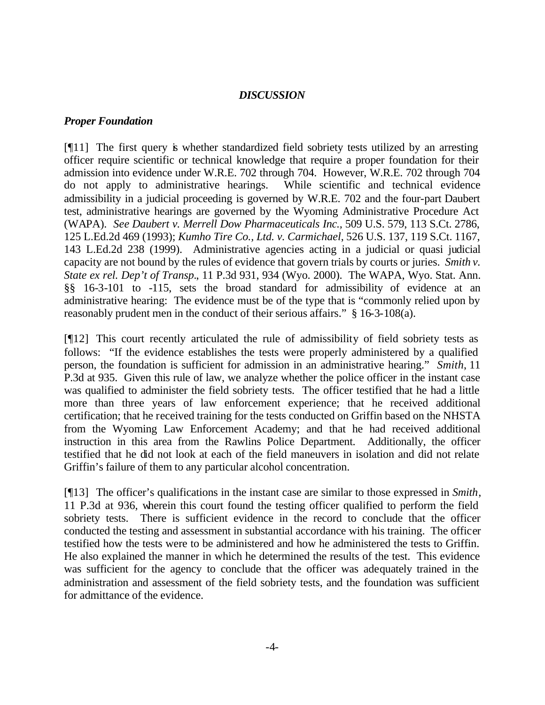### *DISCUSSION*

### *Proper Foundation*

[¶11] The first query is whether standardized field sobriety tests utilized by an arresting officer require scientific or technical knowledge that require a proper foundation for their admission into evidence under W.R.E. 702 through 704. However, W.R.E. 702 through 704 do not apply to administrative hearings. While scientific and technical evidence admissibility in a judicial proceeding is governed by W.R.E. 702 and the four-part Daubert test, administrative hearings are governed by the Wyoming Administrative Procedure Act (WAPA). *See Daubert v. Merrell Dow Pharmaceuticals Inc.,* 509 U.S. 579, 113 S.Ct. 2786, 125 L.Ed.2d 469 (1993); *Kumho Tire Co., Ltd. v. Carmichael*, 526 U.S. 137, 119 S.Ct. 1167, 143 L.Ed.2d 238 (1999). Administrative agencies acting in a judicial or quasi judicial capacity are not bound by the rules of evidence that govern trials by courts or juries. *Smith v. State ex rel. Dep't of Transp.*, 11 P.3d 931, 934 (Wyo. 2000). The WAPA, Wyo. Stat. Ann. §§ 16-3-101 to -115, sets the broad standard for admissibility of evidence at an administrative hearing: The evidence must be of the type that is "commonly relied upon by reasonably prudent men in the conduct of their serious affairs." § 16-3-108(a).

[¶12] This court recently articulated the rule of admissibility of field sobriety tests as follows: "If the evidence establishes the tests were properly administered by a qualified person, the foundation is sufficient for admission in an administrative hearing." *Smith*, 11 P.3d at 935. Given this rule of law, we analyze whether the police officer in the instant case was qualified to administer the field sobriety tests. The officer testified that he had a little more than three years of law enforcement experience; that he received additional certification; that he received training for the tests conducted on Griffin based on the NHSTA from the Wyoming Law Enforcement Academy; and that he had received additional instruction in this area from the Rawlins Police Department. Additionally, the officer testified that he did not look at each of the field maneuvers in isolation and did not relate Griffin's failure of them to any particular alcohol concentration.

[¶13] The officer's qualifications in the instant case are similar to those expressed in *Smith*, 11 P.3d at 936, wherein this court found the testing officer qualified to perform the field sobriety tests. There is sufficient evidence in the record to conclude that the officer conducted the testing and assessment in substantial accordance with his training. The officer testified how the tests were to be administered and how he administered the tests to Griffin. He also explained the manner in which he determined the results of the test. This evidence was sufficient for the agency to conclude that the officer was adequately trained in the administration and assessment of the field sobriety tests, and the foundation was sufficient for admittance of the evidence.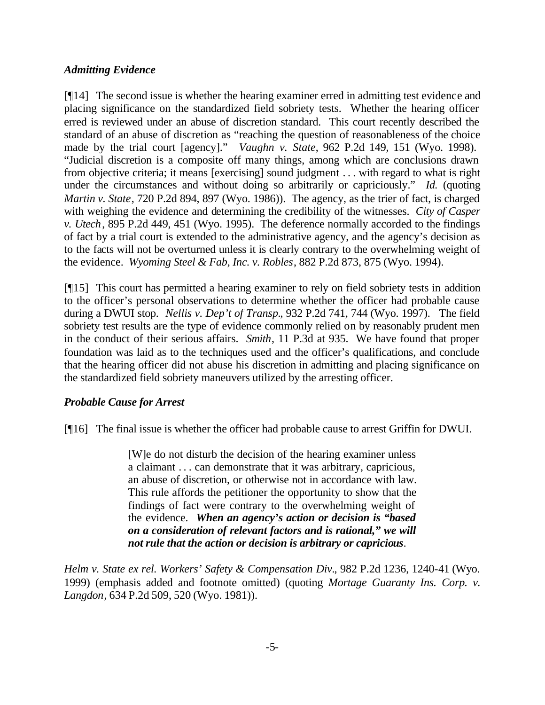# *Admitting Evidence*

[¶14] The second issue is whether the hearing examiner erred in admitting test evidence and placing significance on the standardized field sobriety tests. Whether the hearing officer erred is reviewed under an abuse of discretion standard. This court recently described the standard of an abuse of discretion as "reaching the question of reasonableness of the choice made by the trial court [agency]." *Vaughn v. State*, 962 P.2d 149, 151 (Wyo. 1998). "Judicial discretion is a composite off many things, among which are conclusions drawn from objective criteria; it means [exercising] sound judgment . . . with regard to what is right under the circumstances and without doing so arbitrarily or capriciously." *Id.* (quoting *Martin v. State*, 720 P.2d 894, 897 (Wyo. 1986)). The agency, as the trier of fact, is charged with weighing the evidence and determining the credibility of the witnesses. *City of Casper v. Utech*, 895 P.2d 449, 451 (Wyo. 1995). The deference normally accorded to the findings of fact by a trial court is extended to the administrative agency, and the agency's decision as to the facts will not be overturned unless it is clearly contrary to the overwhelming weight of the evidence. *Wyoming Steel & Fab, Inc. v. Robles*, 882 P.2d 873, 875 (Wyo. 1994).

[¶15] This court has permitted a hearing examiner to rely on field sobriety tests in addition to the officer's personal observations to determine whether the officer had probable cause during a DWUI stop. *Nellis v. Dep't of Transp.*, 932 P.2d 741, 744 (Wyo. 1997). The field sobriety test results are the type of evidence commonly relied on by reasonably prudent men in the conduct of their serious affairs. *Smith*, 11 P.3d at 935. We have found that proper foundation was laid as to the techniques used and the officer's qualifications, and conclude that the hearing officer did not abuse his discretion in admitting and placing significance on the standardized field sobriety maneuvers utilized by the arresting officer.

# *Probable Cause for Arrest*

[¶16] The final issue is whether the officer had probable cause to arrest Griffin for DWUI.

[W]e do not disturb the decision of the hearing examiner unless a claimant . . . can demonstrate that it was arbitrary, capricious, an abuse of discretion, or otherwise not in accordance with law. This rule affords the petitioner the opportunity to show that the findings of fact were contrary to the overwhelming weight of the evidence. *When an agency's action or decision is "based on a consideration of relevant factors and is rational," we will not rule that the action or decision is arbitrary or capricious.*

*Helm v. State ex rel. Workers' Safety & Compensation Div.*, 982 P.2d 1236, 1240-41 (Wyo. 1999) (emphasis added and footnote omitted) (quoting *Mortage Guaranty Ins. Corp. v. Langdon*, 634 P.2d 509, 520 (Wyo. 1981)).